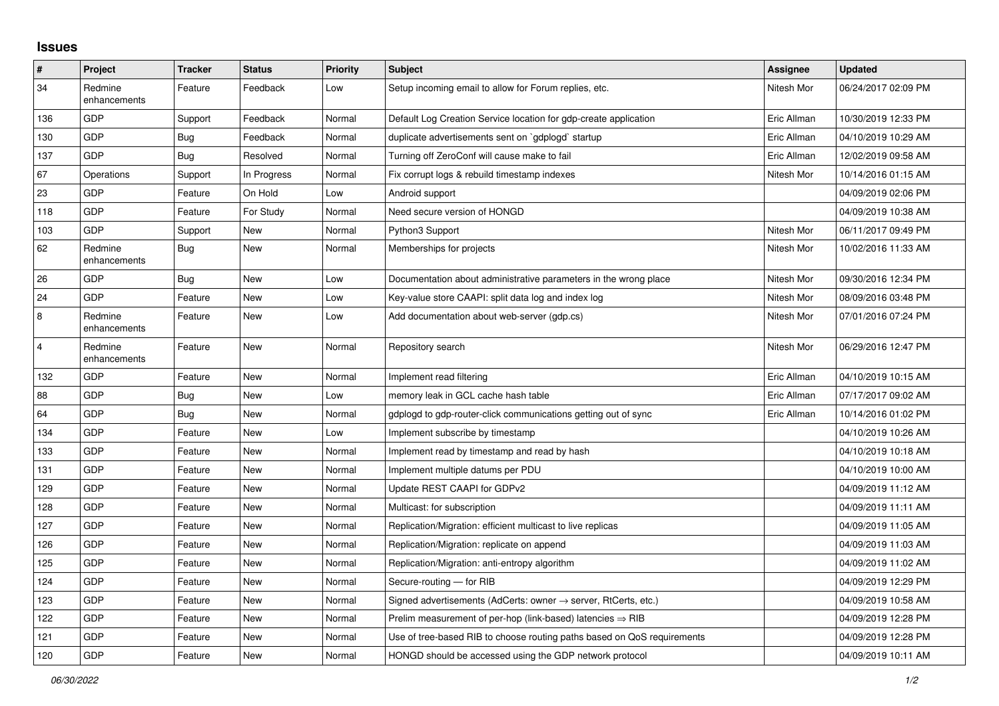## **Issues**

| $\pmb{\#}$              | Project                 | <b>Tracker</b> | <b>Status</b> | Priority | <b>Subject</b>                                                             | Assignee    | <b>Updated</b>      |
|-------------------------|-------------------------|----------------|---------------|----------|----------------------------------------------------------------------------|-------------|---------------------|
| 34                      | Redmine<br>enhancements | Feature        | Feedback      | Low      | Setup incoming email to allow for Forum replies, etc.                      | Nitesh Mor  | 06/24/2017 02:09 PM |
| 136                     | <b>GDP</b>              | Support        | Feedback      | Normal   | Default Log Creation Service location for gdp-create application           | Eric Allman | 10/30/2019 12:33 PM |
| 130                     | GDP                     | <b>Bug</b>     | Feedback      | Normal   | duplicate advertisements sent on `gdplogd` startup                         | Eric Allman | 04/10/2019 10:29 AM |
| 137                     | <b>GDP</b>              | Bug            | Resolved      | Normal   | Turning off ZeroConf will cause make to fail                               | Eric Allman | 12/02/2019 09:58 AM |
| 67                      | Operations              | Support        | In Progress   | Normal   | Fix corrupt logs & rebuild timestamp indexes                               | Nitesh Mor  | 10/14/2016 01:15 AM |
| 23                      | GDP                     | Feature        | On Hold       | Low      | Android support                                                            |             | 04/09/2019 02:06 PM |
| 118                     | <b>GDP</b>              | Feature        | For Study     | Normal   | Need secure version of HONGD                                               |             | 04/09/2019 10:38 AM |
| 103                     | <b>GDP</b>              | Support        | New           | Normal   | Python3 Support                                                            | Nitesh Mor  | 06/11/2017 09:49 PM |
| 62                      | Redmine<br>enhancements | Bug            | New           | Normal   | Memberships for projects                                                   | Nitesh Mor  | 10/02/2016 11:33 AM |
| 26                      | <b>GDP</b>              | Bug            | <b>New</b>    | Low      | Documentation about administrative parameters in the wrong place           | Nitesh Mor  | 09/30/2016 12:34 PM |
| 24                      | <b>GDP</b>              | Feature        | <b>New</b>    | Low      | Key-value store CAAPI: split data log and index log                        | Nitesh Mor  | 08/09/2016 03:48 PM |
| $\,8\,$                 | Redmine<br>enhancements | Feature        | <b>New</b>    | Low      | Add documentation about web-server (gdp.cs)                                | Nitesh Mor  | 07/01/2016 07:24 PM |
| $\overline{\mathbf{4}}$ | Redmine<br>enhancements | Feature        | <b>New</b>    | Normal   | Repository search                                                          | Nitesh Mor  | 06/29/2016 12:47 PM |
| 132                     | <b>GDP</b>              | Feature        | New           | Normal   | Implement read filtering                                                   | Eric Allman | 04/10/2019 10:15 AM |
| 88                      | <b>GDP</b>              | Bug            | <b>New</b>    | Low      | memory leak in GCL cache hash table                                        | Eric Allman | 07/17/2017 09:02 AM |
| 64                      | GDP                     | Bug            | <b>New</b>    | Normal   | gdplogd to gdp-router-click communications getting out of sync             | Eric Allman | 10/14/2016 01:02 PM |
| 134                     | GDP                     | Feature        | <b>New</b>    | Low      | Implement subscribe by timestamp                                           |             | 04/10/2019 10:26 AM |
| 133                     | GDP                     | Feature        | <b>New</b>    | Normal   | Implement read by timestamp and read by hash                               |             | 04/10/2019 10:18 AM |
| 131                     | <b>GDP</b>              | Feature        | <b>New</b>    | Normal   | Implement multiple datums per PDU                                          |             | 04/10/2019 10:00 AM |
| 129                     | <b>GDP</b>              | Feature        | <b>New</b>    | Normal   | Update REST CAAPI for GDPv2                                                |             | 04/09/2019 11:12 AM |
| 128                     | <b>GDP</b>              | Feature        | <b>New</b>    | Normal   | Multicast: for subscription                                                |             | 04/09/2019 11:11 AM |
| 127                     | <b>GDP</b>              | Feature        | <b>New</b>    | Normal   | Replication/Migration: efficient multicast to live replicas                |             | 04/09/2019 11:05 AM |
| 126                     | GDP                     | Feature        | New           | Normal   | Replication/Migration: replicate on append                                 |             | 04/09/2019 11:03 AM |
| 125                     | GDP                     | Feature        | <b>New</b>    | Normal   | Replication/Migration: anti-entropy algorithm                              |             | 04/09/2019 11:02 AM |
| 124                     | <b>GDP</b>              | Feature        | <b>New</b>    | Normal   | Secure-routing - for RIB                                                   |             | 04/09/2019 12:29 PM |
| 123                     | GDP                     | Feature        | <b>New</b>    | Normal   | Signed advertisements (AdCerts: owner $\rightarrow$ server, RtCerts, etc.) |             | 04/09/2019 10:58 AM |
| 122                     | <b>GDP</b>              | Feature        | New           | Normal   | Prelim measurement of per-hop (link-based) latencies $\Rightarrow$ RIB     |             | 04/09/2019 12:28 PM |
| 121                     | GDP                     | Feature        | New           | Normal   | Use of tree-based RIB to choose routing paths based on QoS requirements    |             | 04/09/2019 12:28 PM |
| 120                     | GDP                     | Feature        | <b>New</b>    | Normal   | HONGD should be accessed using the GDP network protocol                    |             | 04/09/2019 10:11 AM |